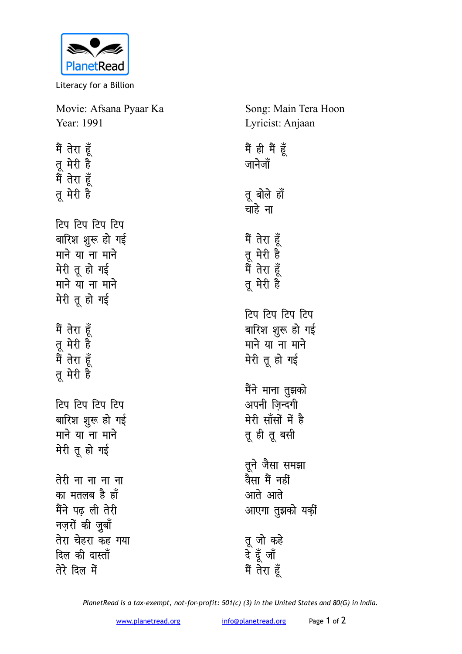

Literacy for a Billion

| Movie: Afsana Pyaar Ka     | Song: Main Tera Hoon |
|----------------------------|----------------------|
| Year: 1991                 | Lyricist: Anjaan     |
| मैं तेरा हूँ               | मैं ही मैं हूँ       |
| तू मेरी है                 | जानेजॉ               |
| मैं तेरा हूँ               |                      |
| तू मेरी है                 | तू बोले हॉ           |
|                            | चाहे ना              |
| टिप टिप टिप टिप            |                      |
| बारिश शुरू हो गई           | मैं तेरा हूँ         |
| माने या ना माने            | तू मेरी है           |
| मेरी तू हो गई              | मैं तेरा हूँ         |
| माने या ना माने            | तू मेरी है           |
| मेरी तू हो गई              |                      |
|                            | टिप टिप टिप टिप      |
| मैं तेरा हूँ               | बारिश शुरू हो गई     |
| तू मेरी है<br>मैं तेरा हूँ | माने या ना माने      |
|                            | मेरी तू हो गई        |
| तू मेरी है                 |                      |
|                            | मैंने माना तुझको     |
| टिप टिप टिप टिप            | अपनी ज़िन्दगी        |
| बारिश शुरू हो गई           | मेरी सॉंसों में है   |
| माने या ना माने            | तू ही तू बसी         |
| मेरी तू हो गई              |                      |
|                            | तूने जैसा समझा       |
| तेरी ना ना ना ना           | वैसा मैं नहीं        |
| का मतलब है हाँ             | आते आते              |
| मैंने पढ़ ली तेरी          | आएगा तुझको यकीं      |
| नज़रों की ज़ुबाँ           |                      |
| तेरा चेहरा कह गया          | तू जो कहे            |
| दिल की दास्ताँ             | दे दूँ जाँ           |
| तेरे दिल में               | मैं तेरा हूँ         |
|                            |                      |

*PlanetRead is a tax-exempt, not-for-profit: 501(c) (3) in the United States and 80(G) in India.*